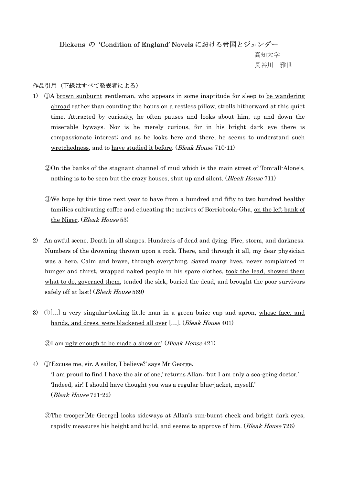## Dickens の 'Condition of England' Novels における帝国とジェンダー

 高知大学 長谷川 雅世

## 作品引用(下線はすべて発表者による)

- 1) ①A brown sunburnt gentleman, who appears in some inaptitude for sleep to be wandering abroad rather than counting the hours on a restless pillow, strolls hitherward at this quiet time. Attracted by curiosity, he often pauses and looks about him, up and down the miserable byways. Nor is he merely curious, for in his bright dark eye there is compassionate interest; and as he looks here and there, he seems to understand such wretchedness, and to have studied it before. (Bleak House 710-11)
	- ②On the banks of the stagnant channel of mud which is the main street of Tom-all-Alone's, nothing is to be seen but the crazy houses, shut up and silent. (*Bleak House* 711)
	- ③We hope by this time next year to have from a hundred and fifty to two hundred healthy families cultivating coffee and educating the natives of Borrioboola-Gha, on the left bank of the Niger. (Bleak House 53)
- 2) An awful scene. Death in all shapes. Hundreds of dead and dying. Fire, storm, and darkness. Numbers of the drowning thrown upon a rock. There, and through it all, my dear physician was a hero. Calm and brave, through everything. Saved many lives, never complained in hunger and thirst, wrapped naked people in his spare clothes, took the lead, showed them what to do, governed them, tended the sick, buried the dead, and brought the poor survivors safely off at last! (*Bleak House* 569)
- 3) ①[…] a very singular-looking little man in a green baize cap and apron, whose face, and hands, and dress, were blackened all over [...]. (*Bleak House* 401)

②I am ugly enough to be made a show on! (Bleak House 421)

- 4) ①'Excuse me, sir. A sailor, I believe?' says Mr George. 'I am proud to find I have the air of one,' returns Allan; 'but I am only a sea-going doctor.' 'Indeed, sir! I should have thought you was a regular blue-jacket, myself.' (Bleak House 721-22)
	- ②The trooper[Mr George] looks sideways at Allan's sun-burnt cheek and bright dark eyes, rapidly measures his height and build, and seems to approve of him. (*Bleak House* 726)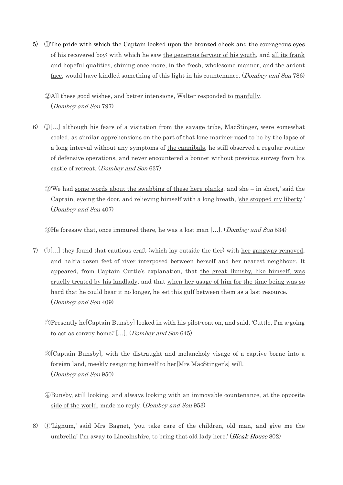- 5) ①The pride with which the Captain looked upon the bronzed cheek and the courageous eyes of his recovered boy; with which he saw the generous fervour of his youth, and all its frank and hopeful qualities, shining once more, in the fresh, wholesome manner, and the ardent face, would have kindled something of this light in his countenance. (Dombey and Son 786)
	- ②All these good wishes, and better intensions, Walter responded to manfully. (Dombey and Son 797)
- 6) ①[…] although his fears of a visitation from the savage tribe, MacStinger, were somewhat cooled, as similar apprehensions on the part of that lone mariner used to be by the lapse of a long interval without any symptoms of the cannibals, he still observed a regular routine of defensive operations, and never encountered a bonnet without previous survey from his castle of retreat. (Dombey and Son 637)
	- $\mathcal{D}'$  We had some words about the swabbing of these here planks, and she in short,' said the Captain, eyeing the door, and relieving himself with a long breath, 'she stopped my liberty.' (Dombey and Son 407)

③He foresaw that, once immured there, he was a lost man […]. (Dombey and Son 534)

- 7) ①[…] they found that cautious craft (which lay outside the tier) with her gangway removed, and half-a-dozen feet of river interposed between herself and her nearest neighbour. It appeared, from Captain Cuttle's explanation, that the great Bunsby, like himself, was cruelly treated by his landlady, and that when her usage of him for the time being was so hard that he could bear it no longer, he set this gulf between them as a last resource. (Dombey and Son 409)
	- ②Presently he[Captain Bunsby] looked in with his pilot-coat on, and said, 'Cuttle, I'm a-going to act as convoy home;' […]. (Dombey and Son 645)
	- ③[Captain Bunsby], with the distraught and melancholy visage of a captive borne into a foreign land, meekly resigning himself to her[Mrs MacStinger's] will. (Dombey and Son 950)
	- ④Bunsby, still looking, and always looking with an immovable countenance, at the opposite side of the world, made no reply. (Dombey and Son 953)
- 8) ①'Lignum,' said Mrs Bagnet, 'you take care of the children, old man, and give me the umbrella! I'm away to Lincolnshire, to bring that old lady here.' (*Bleak House* 802)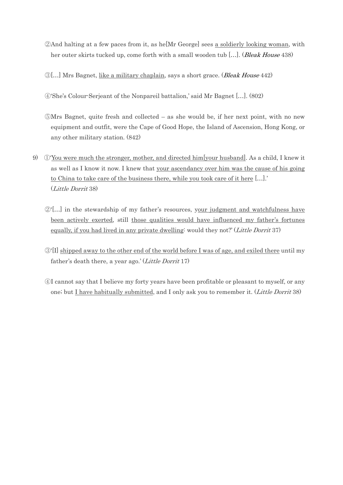- ②And halting at a few paces from it, as he[Mr George] sees a soldierly looking woman, with her outer skirts tucked up, come forth with a small wooden tub [...]. (Bleak House 438)
- ③[…] Mrs Bagnet, like a military chaplain, says a short grace. (Bleak House 442)

④'She's Colour-Serjeant of the Nonpareil battalion,' said Mr Bagnet […]. (802)

- ⑤Mrs Bagnet, quite fresh and collected as she would be, if her next point, with no new equipment and outfit, were the Cape of Good Hope, the Island of Ascension, Hong Kong, or any other military station. (842)
- 9) ①'You were much the stronger, mother, and directed him[your husband]. As a child, I knew it as well as I know it now. I knew that your ascendancy over him was the cause of his going to China to take care of the business there, while you took care of it here […].' (Little Dorrit 38)
	- $\mathcal{D}'[...]$  in the stewardship of my father's resources, your judgment and watchfulness have been actively exerted, still those qualities would have influenced my father's fortunes equally, if you had lived in any private dwelling: would they not?' (Little Dorrit 37)
	- ③'[I] shipped away to the other end of the world before I was of age, and exiled there until my father's death there, a year ago.' (Little Dorrit  $17$ )
	- ④I cannot say that I believe my forty years have been profitable or pleasant to myself, or any one; but I have habitually submitted, and I only ask you to remember it. (Little Dorrit 38)